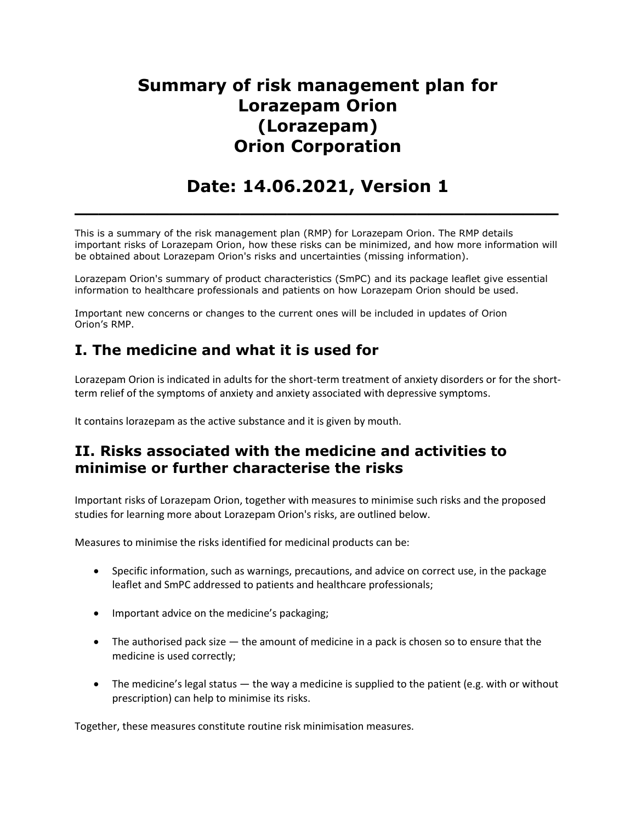# **Summary of risk management plan for Lorazepam Orion (Lorazepam) Orion Corporation**

## **Date: 14.06.2021, Version 1**

**\_\_\_\_\_\_\_\_\_\_\_\_\_\_\_\_\_\_\_\_\_\_\_\_\_\_\_\_\_\_\_\_\_\_\_\_\_\_\_\_\_**

This is a summary of the risk management plan (RMP) for Lorazepam Orion. The RMP details important risks of Lorazepam Orion, how these risks can be minimized, and how more information will be obtained about Lorazepam Orion's risks and uncertainties (missing information).

Lorazepam Orion's summary of product characteristics (SmPC) and its package leaflet give essential information to healthcare professionals and patients on how Lorazepam Orion should be used.

Important new concerns or changes to the current ones will be included in updates of Orion Orion's RMP.

## **I. The medicine and what it is used for**

Lorazepam Orion is indicated in adults for the short-term treatment of anxiety disorders or for the shortterm relief of the symptoms of anxiety and anxiety associated with depressive symptoms.

It contains lorazepam as the active substance and it is given by mouth.

## **II. Risks associated with the medicine and activities to minimise or further characterise the risks**

Important risks of Lorazepam Orion, together with measures to minimise such risks and the proposed studies for learning more about Lorazepam Orion's risks, are outlined below.

Measures to minimise the risks identified for medicinal products can be:

- Specific information, such as warnings, precautions, and advice on correct use, in the package leaflet and SmPC addressed to patients and healthcare professionals;
- Important advice on the medicine's packaging;
- The authorised pack size the amount of medicine in a pack is chosen so to ensure that the medicine is used correctly;
- The medicine's legal status the way a medicine is supplied to the patient (e.g. with or without prescription) can help to minimise its risks.

Together, these measures constitute routine risk minimisation measures.